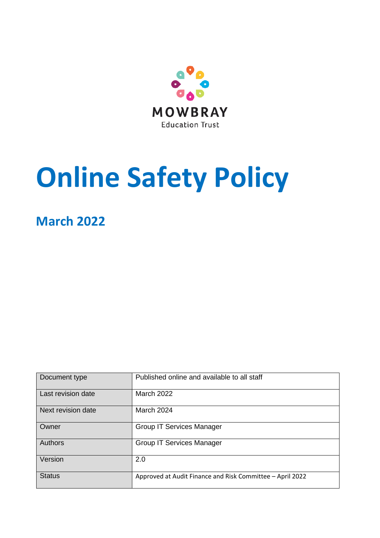

# **Online Safety Policy**

# **March 2022**

| Document type      | Published online and available to all staff               |
|--------------------|-----------------------------------------------------------|
| Last revision date | <b>March 2022</b>                                         |
| Next revision date | March 2024                                                |
| Owner              | <b>Group IT Services Manager</b>                          |
| Authors            | <b>Group IT Services Manager</b>                          |
| Version            | 2.0                                                       |
| <b>Status</b>      | Approved at Audit Finance and Risk Committee - April 2022 |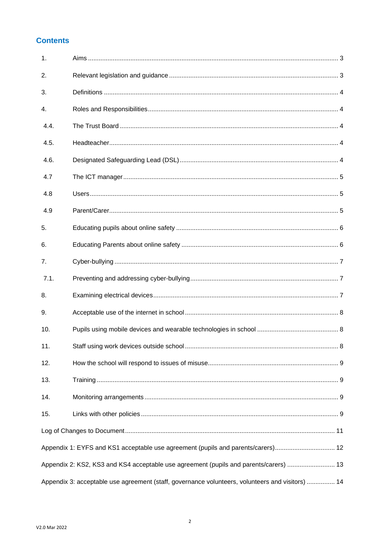## **Contents**

| 1.                                                                                               |  |  |  |
|--------------------------------------------------------------------------------------------------|--|--|--|
| 2.                                                                                               |  |  |  |
| 3.                                                                                               |  |  |  |
| 4.                                                                                               |  |  |  |
| 4.4.                                                                                             |  |  |  |
| 4.5.                                                                                             |  |  |  |
| 4.6.                                                                                             |  |  |  |
| 4.7                                                                                              |  |  |  |
| 4.8                                                                                              |  |  |  |
| 4.9                                                                                              |  |  |  |
| 5.                                                                                               |  |  |  |
| 6.                                                                                               |  |  |  |
| 7.                                                                                               |  |  |  |
| 7.1.                                                                                             |  |  |  |
| 8.                                                                                               |  |  |  |
| 9.                                                                                               |  |  |  |
| 10.                                                                                              |  |  |  |
| 11.                                                                                              |  |  |  |
| 12.                                                                                              |  |  |  |
| 13.                                                                                              |  |  |  |
| 14.                                                                                              |  |  |  |
| 15.                                                                                              |  |  |  |
|                                                                                                  |  |  |  |
| Appendix 1: EYFS and KS1 acceptable use agreement (pupils and parents/carers) 12                 |  |  |  |
| Appendix 2: KS2, KS3 and KS4 acceptable use agreement (pupils and parents/carers)  13            |  |  |  |
| Appendix 3: acceptable use agreement (staff, governance volunteers, volunteers and visitors)  14 |  |  |  |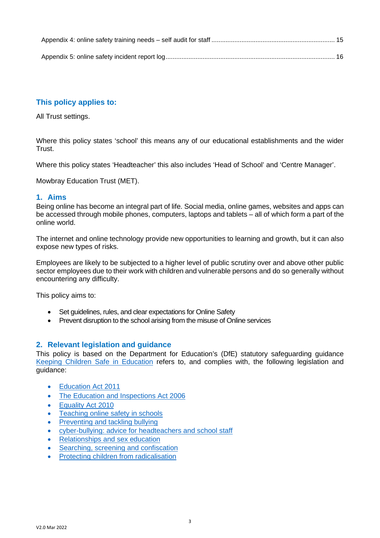## **This policy applies to:**

All Trust settings.

Where this policy states 'school' this means any of our educational establishments and the wider Trust.

Where this policy states 'Headteacher' this also includes 'Head of School' and 'Centre Manager'.

Mowbray Education Trust (MET).

#### <span id="page-2-0"></span>**1. Aims**

Being online has become an integral part of life. Social media, online games, websites and apps can be accessed through mobile phones, computers, laptops and tablets – all of which form a part of the online world.

The internet and online technology provide new opportunities to learning and growth, but it can also expose new types of risks.

Employees are likely to be subjected to a higher level of public scrutiny over and above other public sector employees due to their work with children and vulnerable persons and do so generally without encountering any difficulty.

This policy aims to:

- Set guidelines, rules, and clear expectations for Online Safety
- Prevent disruption to the school arising from the misuse of Online services

## <span id="page-2-1"></span>**2. Relevant legislation and guidance**

This policy is based on the Department for Education's (DfE) statutory safeguarding guidance [Keeping Children Safe in Education](https://www.gov.uk/government/publications/keeping-children-safe-in-education--2) refers to, and complies with, the following legislation and guidance:

- Education Act 2011
- The Education and Inspections Act 2006
- Equality Act 2010
- [Teaching online safety in schools](https://www.gov.uk/government/publications/teaching-online-safety-in-schools)
- [Preventing and tackling bullying](https://www.gov.uk/government/publications/preventing-and-tackling-bullying)
- [cyber-bullying: advice for headteachers and school staff](https://www.gov.uk/government/publications/preventing-and-tackling-bullying)
- [Relationships and sex education](https://www.gov.uk/government/publications/relationships-education-relationships-and-sex-education-rse-and-health-education)
- [Searching, screening and confiscation](https://www.gov.uk/government/publications/searching-screening-and-confiscation)
- Protecting children from radicalisation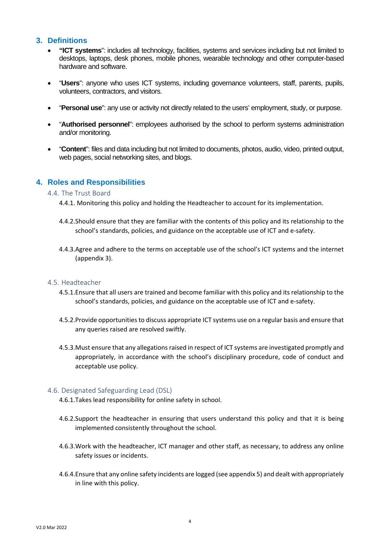### <span id="page-3-0"></span>**3. Definitions**

- **"ICT systems**": includes all technology, facilities, systems and services including but not limited to desktops, laptops, desk phones, mobile phones, wearable technology and other computer-based hardware and software.
- "**Users**": anyone who uses ICT systems, including governance volunteers, staff, parents, pupils, volunteers, contractors, and visitors.
- "**Personal use**": any use or activity not directly related to the users' employment, study, or purpose.
- "**Authorised personnel**": employees authorised by the school to perform systems administration and/or monitoring.
- "**Content**": files and data including but not limited to documents, photos, audio, video, printed output, web pages, social networking sites, and blogs.

#### <span id="page-3-2"></span><span id="page-3-1"></span>**4. Roles and Responsibilities**

#### 4.4. The Trust Board

- 4.4.1. Monitoring this policy and holding the Headteacher to account for its implementation.
- 4.4.2.Should ensure that they are familiar with the contents of this policy and its relationship to the school's standards, policies, and guidance on the acceptable use of ICT and e-safety.
- 4.4.3.Agree and adhere to the terms on acceptable use of the school's ICT systems and the internet (appendix 3).

#### <span id="page-3-3"></span>4.5. Headteacher

- 4.5.1.Ensure that all users are trained and become familiar with this policy and its relationship to the school's standards, policies, and guidance on the acceptable use of ICT and e-safety.
- 4.5.2.Provide opportunities to discuss appropriate ICT systems use on a regular basis and ensure that any queries raised are resolved swiftly.
- 4.5.3.Must ensure that any allegations raised in respect of ICT systems are investigated promptly and appropriately, in accordance with the school's disciplinary procedure, code of conduct and acceptable use policy.

#### <span id="page-3-4"></span>4.6. Designated Safeguarding Lead (DSL)

- 4.6.1.Takes lead responsibility for online safety in school.
- 4.6.2.Support the headteacher in ensuring that users understand this policy and that it is being implemented consistently throughout the school.
- 4.6.3.Work with the headteacher, ICT manager and other staff, as necessary, to address any online safety issues or incidents.
- 4.6.4.Ensure that any online safety incidents are logged (see appendix 5) and dealt with appropriately in line with this policy.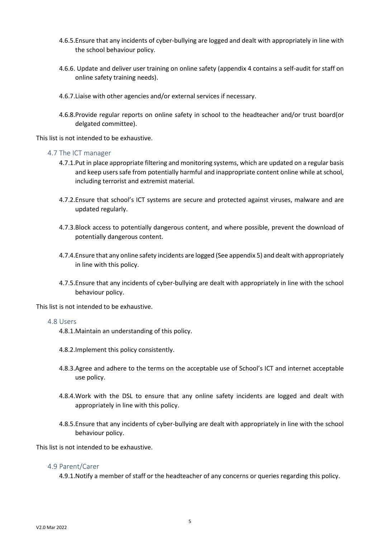- 4.6.5.Ensure that any incidents of cyber-bullying are logged and dealt with appropriately in line with the school behaviour policy.
- 4.6.6. Update and deliver user training on online safety (appendix 4 contains a self-audit for staff on online safety training needs).
- 4.6.7.Liaise with other agencies and/or external services if necessary.
- 4.6.8.Provide regular reports on online safety in school to the headteacher and/or trust board(or delgated committee).

This list is not intended to be exhaustive.

#### <span id="page-4-0"></span>4.7 The ICT manager

- 4.7.1.Put in place appropriate filtering and monitoring systems, which are updated on a regular basis and keep users safe from potentially harmful and inappropriate content online while at school, including terrorist and extremist material.
- 4.7.2.Ensure that school's ICT systems are secure and protected against viruses, malware and are updated regularly.
- 4.7.3.Block access to potentially dangerous content, and where possible, prevent the download of potentially dangerous content.
- 4.7.4.Ensure that any online safety incidents are logged (See appendix 5) and dealt with appropriately in line with this policy.
- 4.7.5.Ensure that any incidents of cyber-bullying are dealt with appropriately in line with the school behaviour policy.

This list is not intended to be exhaustive.

#### <span id="page-4-1"></span>4.8 Users

- 4.8.1.Maintain an understanding of this policy.
- 4.8.2.Implement this policy consistently.
- 4.8.3.Agree and adhere to the terms on the acceptable use of School's ICT and internet acceptable use policy.
- 4.8.4.Work with the DSL to ensure that any online safety incidents are logged and dealt with appropriately in line with this policy.
- 4.8.5.Ensure that any incidents of cyber-bullying are dealt with appropriately in line with the school behaviour policy.

This list is not intended to be exhaustive.

#### <span id="page-4-2"></span>4.9 Parent/Carer

4.9.1.Notify a member of staff or the headteacher of any concerns or queries regarding this policy.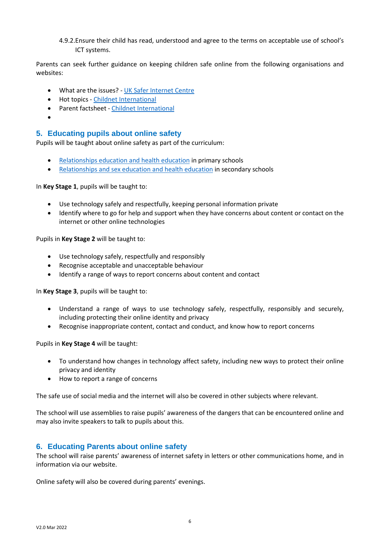4.9.2.Ensure their child has read, understood and agree to the terms on acceptable use of school's ICT systems.

Parents can seek further guidance on keeping children safe online from the following organisations and websites:

- What are the issues? [UK Safer Internet Centre](https://www.saferinternet.org.uk/advice-centre/parents-and-carers/what-are-issues)
- Hot topics [Childnet International](http://www.childnet.com/parents-and-carers/hot-topics)
- Parent factsheet [Childnet International](https://www.childnet.com/resources/parents-and-carers-resource-sheet)
- •

#### <span id="page-5-0"></span>**5. Educating pupils about online safety**

Pupils will be taught about online safety as part of the curriculum:

- [Relationships education and health education](https://schoolleaders.thekeysupport.com/uid/8b76f587-7bf6-4994-abf0-43850c6e8d73/) in primary schools
- [Relationships and sex education and health education](https://schoolleaders.thekeysupport.com/uid/66a1d83e-2fb9-411e-91f1-fe52a09d16d1/) in secondary schools

In **Key Stage 1**, pupils will be taught to:

- Use technology safely and respectfully, keeping personal information private
- Identify where to go for help and support when they have concerns about content or contact on the internet or other online technologies

Pupils in **Key Stage 2** will be taught to:

- Use technology safely, respectfully and responsibly
- Recognise acceptable and unacceptable behaviour
- Identify a range of ways to report concerns about content and contact

In **Key Stage 3**, pupils will be taught to:

- Understand a range of ways to use technology safely, respectfully, responsibly and securely, including protecting their online identity and privacy
- Recognise inappropriate content, contact and conduct, and know how to report concerns

Pupils in **Key Stage 4** will be taught:

- To understand how changes in technology affect safety, including new ways to protect their online privacy and identity
- How to report a range of concerns

The safe use of social media and the internet will also be covered in other subjects where relevant.

The school will use assemblies to raise pupils' awareness of the dangers that can be encountered online and may also invite speakers to talk to pupils about this.

#### <span id="page-5-1"></span>**6. Educating Parents about online safety**

The school will raise parents' awareness of internet safety in letters or other communications home, and in information via our website.

Online safety will also be covered during parents' evenings.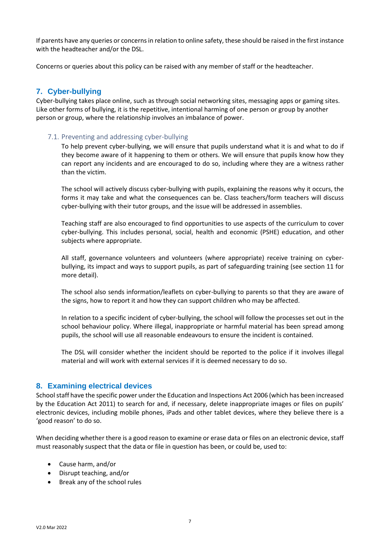If parents have any queries or concerns in relation to online safety, these should be raised in the first instance with the headteacher and/or the DSL.

Concerns or queries about this policy can be raised with any member of staff or the headteacher.

## <span id="page-6-0"></span>**7. Cyber-bullying**

Cyber-bullying takes place online, such as through social networking sites, messaging apps or gaming sites. Like other forms of bullying, it is the repetitive, intentional harming of one person or group by another person or group, where the relationship involves an imbalance of power.

#### <span id="page-6-1"></span>7.1. Preventing and addressing cyber-bullying

To help prevent cyber-bullying, we will ensure that pupils understand what it is and what to do if they become aware of it happening to them or others. We will ensure that pupils know how they can report any incidents and are encouraged to do so, including where they are a witness rather than the victim.

The school will actively discuss cyber-bullying with pupils, explaining the reasons why it occurs, the forms it may take and what the consequences can be. Class teachers/form teachers will discuss cyber-bullying with their tutor groups, and the issue will be addressed in assemblies.

Teaching staff are also encouraged to find opportunities to use aspects of the curriculum to cover cyber-bullying. This includes personal, social, health and economic (PSHE) education, and other subjects where appropriate.

All staff, governance volunteers and volunteers (where appropriate) receive training on cyberbullying, its impact and ways to support pupils, as part of safeguarding training (see section 11 for more detail).

The school also sends information/leaflets on cyber-bullying to parents so that they are aware of the signs, how to report it and how they can support children who may be affected.

In relation to a specific incident of cyber-bullying, the school will follow the processes set out in the school behaviour policy. Where illegal, inappropriate or harmful material has been spread among pupils, the school will use all reasonable endeavours to ensure the incident is contained.

The DSL will consider whether the incident should be reported to the police if it involves illegal material and will work with external services if it is deemed necessary to do so.

## <span id="page-6-2"></span>**8. Examining electrical devices**

School staff have the specific power under the Education and Inspections Act 2006 (which has been increased by the Education Act 2011) to search for and, if necessary, delete inappropriate images or files on pupils' electronic devices, including mobile phones, iPads and other tablet devices, where they believe there is a 'good reason' to do so.

When deciding whether there is a good reason to examine or erase data or files on an electronic device, staff must reasonably suspect that the data or file in question has been, or could be, used to:

- Cause harm, and/or
- Disrupt teaching, and/or
- Break any of the school rules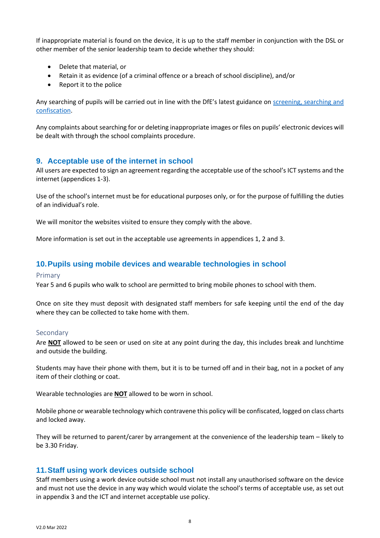If inappropriate material is found on the device, it is up to the staff member in conjunction with the DSL or other member of the senior leadership team to decide whether they should:

- Delete that material, or
- Retain it as evidence (of a criminal offence or a breach of school discipline), and/or
- Report it to the police

Any searching of pupils will be carried out in line with the DfE's latest guidance on [screening, searching and](https://www.gov.uk/government/publications/searching-screening-and-confiscation)  [confiscation.](https://www.gov.uk/government/publications/searching-screening-and-confiscation)

Any complaints about searching for or deleting inappropriate images or files on pupils' electronic devices will be dealt with through the school complaints procedure.

#### <span id="page-7-0"></span>**9. Acceptable use of the internet in school**

All users are expected to sign an agreement regarding the acceptable use of the school's ICT systems and the internet (appendices 1-3).

Use of the school's internet must be for educational purposes only, or for the purpose of fulfilling the duties of an individual's role.

We will monitor the websites visited to ensure they comply with the above.

More information is set out in the acceptable use agreements in appendices 1, 2 and 3.

#### <span id="page-7-1"></span>**10.Pupils using mobile devices and wearable technologies in school**

#### Primary

Year 5 and 6 pupils who walk to school are permitted to bring mobile phones to school with them.

Once on site they must deposit with designated staff members for safe keeping until the end of the day where they can be collected to take home with them.

#### Secondary

Are **NOT** allowed to be seen or used on site at any point during the day, this includes break and lunchtime and outside the building.

Students may have their phone with them, but it is to be turned off and in their bag, not in a pocket of any item of their clothing or coat.

Wearable technologies are **NOT** allowed to be worn in school.

Mobile phone or wearable technology which contravene this policy will be confiscated, logged on class charts and locked away.

They will be returned to parent/carer by arrangement at the convenience of the leadership team – likely to be 3.30 Friday.

#### <span id="page-7-2"></span>**11.Staff using work devices outside school**

Staff members using a work device outside school must not install any unauthorised software on the device and must not use the device in any way which would violate the school's terms of acceptable use, as set out in appendix 3 and the ICT and internet acceptable use policy.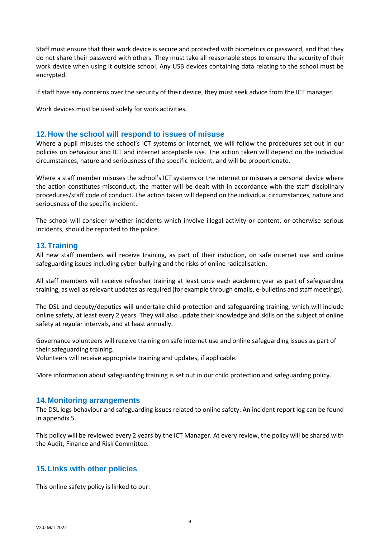Staff must ensure that their work device is secure and protected with biometrics or password, and that they do not share their password with others. They must take all reasonable steps to ensure the security of their work device when using it outside school. Any USB devices containing data relating to the school must be encrypted.

If staff have any concerns over the security of their device, they must seek advice from the ICT manager.

Work devices must be used solely for work activities.

#### <span id="page-8-0"></span>**12.How the school will respond to issues of misuse**

Where a pupil misuses the school's ICT systems or internet, we will follow the procedures set out in our policies on behaviour and ICT and internet acceptable use. The action taken will depend on the individual circumstances, nature and seriousness of the specific incident, and will be proportionate.

Where a staff member misuses the school's ICT systems or the internet or misuses a personal device where the action constitutes misconduct, the matter will be dealt with in accordance with the staff disciplinary procedures/staff code of conduct. The action taken will depend on the individual circumstances, nature and seriousness of the specific incident.

The school will consider whether incidents which involve illegal activity or content, or otherwise serious incidents, should be reported to the police.

#### <span id="page-8-1"></span>**13.Training**

All new staff members will receive training, as part of their induction, on safe internet use and online safeguarding issues including cyber-bullying and the risks of online radicalisation.

All staff members will receive refresher training at least once each academic year as part of safeguarding training, as well as relevant updates as required (for example through emails, e-bulletins and staff meetings).

The DSL and deputy/deputies will undertake child protection and safeguarding training, which will include online safety, at least every 2 years. They will also update their knowledge and skills on the subject of online safety at regular intervals, and at least annually.

Governance volunteers will receive training on safe internet use and online safeguarding issues as part of their safeguarding training.

Volunteers will receive appropriate training and updates, if applicable.

More information about safeguarding training is set out in our child protection and safeguarding policy.

#### <span id="page-8-2"></span>**14.Monitoring arrangements**

The DSL logs behaviour and safeguarding issues related to online safety. An incident report log can be found in appendix 5.

This policy will be reviewed every 2 years by the ICT Manager. At every review, the policy will be shared with the Audit, Finance and Risk Committee.

#### <span id="page-8-3"></span>**15.Links with other policies**

This online safety policy is linked to our: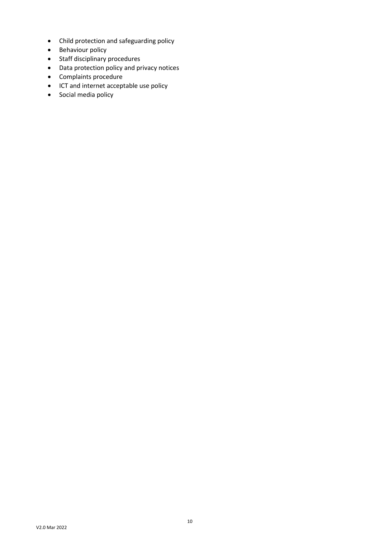- Child protection and safeguarding policy
- Behaviour policy
- Staff disciplinary procedures
- Data protection policy and privacy notices
- Complaints procedure
- ICT and internet acceptable use policy
- Social media policy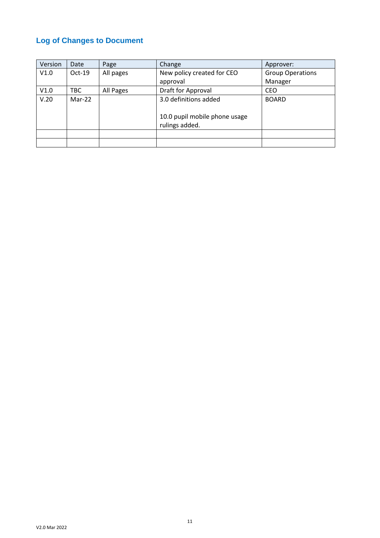## <span id="page-10-0"></span>**Log of Changes to Document**

| Version | Date     | Page      | Change                        | Approver:               |
|---------|----------|-----------|-------------------------------|-------------------------|
| V1.0    | $Oct-19$ | All pages | New policy created for CEO    | <b>Group Operations</b> |
|         |          |           | approval                      | Manager                 |
| V1.0    | TBC.     | All Pages | Draft for Approval            | CEO                     |
| V.20    | $Mar-22$ |           | 3.0 definitions added         | <b>BOARD</b>            |
|         |          |           |                               |                         |
|         |          |           | 10.0 pupil mobile phone usage |                         |
|         |          |           | rulings added.                |                         |
|         |          |           |                               |                         |
|         |          |           |                               |                         |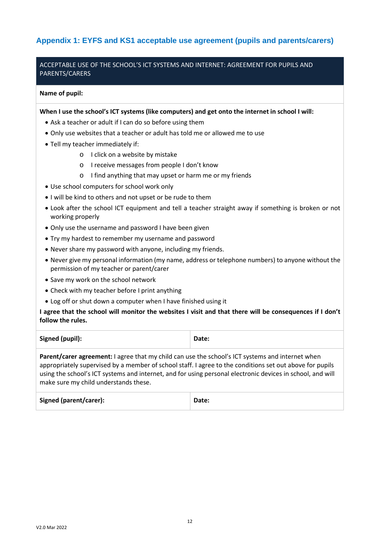## <span id="page-11-0"></span>**Appendix 1: EYFS and KS1 acceptable use agreement (pupils and parents/carers)**

## ACCEPTABLE USE OF THE SCHOOL'S ICT SYSTEMS AND INTERNET: AGREEMENT FOR PUPILS AND PARENTS/CARERS

#### **Name of pupil:**

**When I use the school's ICT systems (like computers) and get onto the internet in school I will:**

- Ask a teacher or adult if I can do so before using them
- Only use websites that a teacher or adult has told me or allowed me to use
- Tell my teacher immediately if:
	- o I click on a website by mistake
	- o I receive messages from people I don't know
	- o I find anything that may upset or harm me or my friends
- Use school computers for school work only
- I will be kind to others and not upset or be rude to them
- Look after the school ICT equipment and tell a teacher straight away if something is broken or not working properly
- Only use the username and password I have been given
- Try my hardest to remember my username and password
- Never share my password with anyone, including my friends.
- Never give my personal information (my name, address or telephone numbers) to anyone without the permission of my teacher or parent/carer
- Save my work on the school network
- Check with my teacher before I print anything
- Log off or shut down a computer when I have finished using it

**I agree that the school will monitor the websites I visit and that there will be consequences if I don't follow the rules.**

| Signed (pupil):                                                                                                                                                                                                    | Date: |  |
|--------------------------------------------------------------------------------------------------------------------------------------------------------------------------------------------------------------------|-------|--|
| <b>Parent/carer agreement:</b> I agree that my child can use the school's ICT systems and internet when<br>anoronriately supervised by a member of school staff I garee to the conditions set out above for nupils |       |  |

appropriately supervised by a member of school staff. I agree to the conditions set out above for pupils using the school's ICT systems and internet, and for using personal electronic devices in school, and will make sure my child understands these.

| Signed (parent/carer): | Date: |
|------------------------|-------|
|                        |       |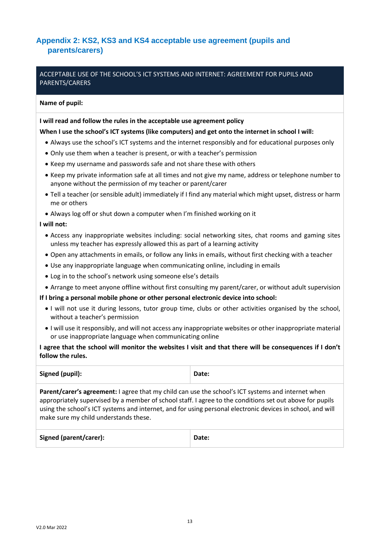## <span id="page-12-0"></span>**Appendix 2: KS2, KS3 and KS4 acceptable use agreement (pupils and parents/carers)**

## ACCEPTABLE USE OF THE SCHOOL'S ICT SYSTEMS AND INTERNET: AGREEMENT FOR PUPILS AND PARENTS/CARERS

#### **Name of pupil:**

#### **I will read and follow the rules in the acceptable use agreement policy**

#### **When I use the school's ICT systems (like computers) and get onto the internet in school I will:**

- Always use the school's ICT systems and the internet responsibly and for educational purposes only
- Only use them when a teacher is present, or with a teacher's permission
- Keep my username and passwords safe and not share these with others
- Keep my private information safe at all times and not give my name, address or telephone number to anyone without the permission of my teacher or parent/carer
- Tell a teacher (or sensible adult) immediately if I find any material which might upset, distress or harm me or others
- Always log off or shut down a computer when I'm finished working on it

#### **I will not:**

- Access any inappropriate websites including: social networking sites, chat rooms and gaming sites unless my teacher has expressly allowed this as part of a learning activity
- Open any attachments in emails, or follow any links in emails, without first checking with a teacher
- Use any inappropriate language when communicating online, including in emails
- Log in to the school's network using someone else's details
- Arrange to meet anyone offline without first consulting my parent/carer, or without adult supervision

#### **If I bring a personal mobile phone or other personal electronic device into school:**

- I will not use it during lessons, tutor group time, clubs or other activities organised by the school, without a teacher's permission
- I will use it responsibly, and will not access any inappropriate websites or other inappropriate material or use inappropriate language when communicating online

#### **I agree that the school will monitor the websites I visit and that there will be consequences if I don't follow the rules.**

| Signed (pupil): | Date: |
|-----------------|-------|
|                 |       |

**Parent/carer's agreement:** I agree that my child can use the school's ICT systems and internet when appropriately supervised by a member of school staff. I agree to the conditions set out above for pupils using the school's ICT systems and internet, and for using personal electronic devices in school, and will make sure my child understands these.

| Signed (parent/carer): | Date: |
|------------------------|-------|
|------------------------|-------|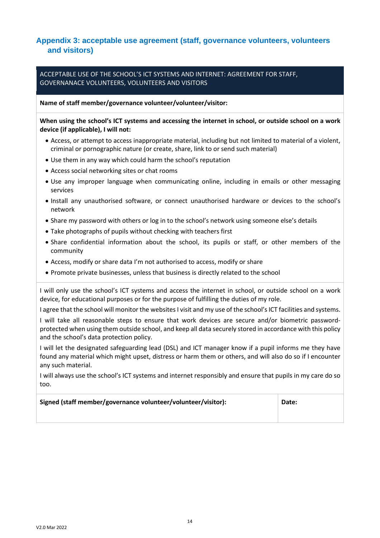## <span id="page-13-0"></span>**Appendix 3: acceptable use agreement (staff, governance volunteers, volunteers and visitors)**

ACCEPTABLE USE OF THE SCHOOL'S ICT SYSTEMS AND INTERNET: AGREEMENT FOR STAFF, GOVERNANACE VOLUNTEERS, VOLUNTEERS AND VISITORS

**Name of staff member/governance volunteer/volunteer/visitor:**

**When using the school's ICT systems and accessing the internet in school, or outside school on a work device (if applicable), I will not:**

- Access, or attempt to access inappropriate material, including but not limited to material of a violent, criminal or pornographic nature (or create, share, link to or send such material)
- Use them in any way which could harm the school's reputation
- Access social networking sites or chat rooms
- Use any improper language when communicating online, including in emails or other messaging services
- Install any unauthorised software, or connect unauthorised hardware or devices to the school's network
- Share my password with others or log in to the school's network using someone else's details
- Take photographs of pupils without checking with teachers first
- Share confidential information about the school, its pupils or staff, or other members of the community
- Access, modify or share data I'm not authorised to access, modify or share
- Promote private businesses, unless that business is directly related to the school

I will only use the school's ICT systems and access the internet in school, or outside school on a work device, for educational purposes or for the purpose of fulfilling the duties of my role.

I agree that the school will monitor the websites I visit and my use of the school's ICT facilities and systems.

I will take all reasonable steps to ensure that work devices are secure and/or biometric passwordprotected when using them outside school, and keep all data securely stored in accordance with this policy and the school's data protection policy.

I will let the designated safeguarding lead (DSL) and ICT manager know if a pupil informs me they have found any material which might upset, distress or harm them or others, and will also do so if I encounter any such material.

I will always use the school's ICT systems and internet responsibly and ensure that pupils in my care do so too.

| Signed (staff member/governance volunteer/volunteer/visitor): | Date: |
|---------------------------------------------------------------|-------|
|                                                               |       |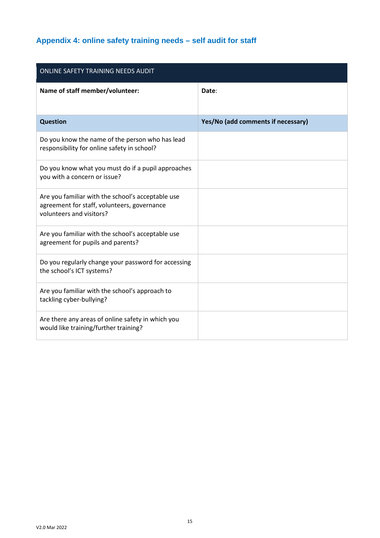# <span id="page-14-0"></span>**Appendix 4: online safety training needs – self audit for staff**

| ONLINE SAFETY TRAINING NEEDS AUDIT                                                                                           |                                    |  |  |
|------------------------------------------------------------------------------------------------------------------------------|------------------------------------|--|--|
| Name of staff member/volunteer:                                                                                              | Date:                              |  |  |
| <b>Question</b>                                                                                                              | Yes/No (add comments if necessary) |  |  |
| Do you know the name of the person who has lead<br>responsibility for online safety in school?                               |                                    |  |  |
| Do you know what you must do if a pupil approaches<br>you with a concern or issue?                                           |                                    |  |  |
| Are you familiar with the school's acceptable use<br>agreement for staff, volunteers, governance<br>volunteers and visitors? |                                    |  |  |
| Are you familiar with the school's acceptable use<br>agreement for pupils and parents?                                       |                                    |  |  |
| Do you regularly change your password for accessing<br>the school's ICT systems?                                             |                                    |  |  |
| Are you familiar with the school's approach to<br>tackling cyber-bullying?                                                   |                                    |  |  |
| Are there any areas of online safety in which you<br>would like training/further training?                                   |                                    |  |  |